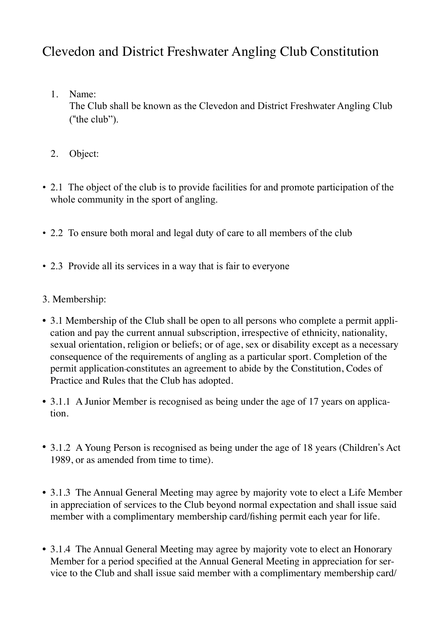# Clevedon and District Freshwater Angling Club Constitution

- 1. Name: The Club shall be known as the Clevedon and District Freshwater Angling Club ("the club").
- 2. Object:
- 2.1 The object of the club is to provide facilities for and promote participation of the whole community in the sport of angling.
- 2.2 To ensure both moral and legal duty of care to all members of the club
- 2.3 Provide all its services in a way that is fair to everyone
- 3. Membership:
- 3.1 Membership of the Club shall be open to all persons who complete a permit application and pay the current annual subscription, irrespective of ethnicity, nationality, sexual orientation, religion or beliefs; or of age, sex or disability except as a necessary consequence of the requirements of angling as a particular sport. Completion of the permit application constitutes an agreement to abide by the Constitution, Codes of Practice and Rules that the Club has adopted.
- 3.1.1 A Junior Member is recognised as being under the age of 17 years on application.
- 3.1.2 A Young Person is recognised as being under the age of 18 years (Children's Act 1989, or as amended from time to time).
- 3.1.3 The Annual General Meeting may agree by majority vote to elect a Life Member in appreciation of services to the Club beyond normal expectation and shall issue said member with a complimentary membership card/fishing permit each year for life.
- 3.1.4 The Annual General Meeting may agree by majority vote to elect an Honorary Member for a period specified at the Annual General Meeting in appreciation for service to the Club and shall issue said member with a complimentary membership card/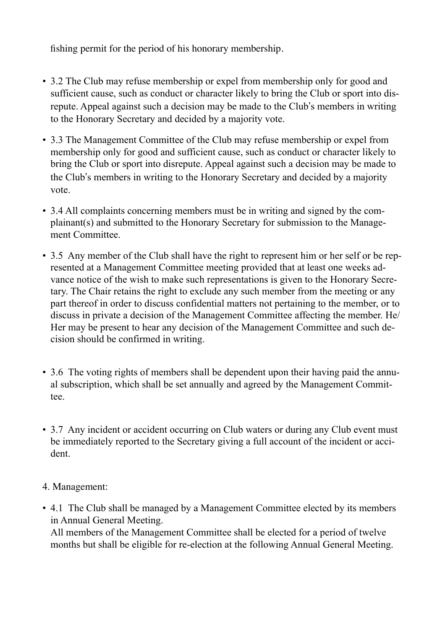fishing permit for the period of his honorary membership.

- 3.2 The Club may refuse membership or expel from membership only for good and sufficient cause, such as conduct or character likely to bring the Club or sport into disrepute. Appeal against such a decision may be made to the Club"s members in writing to the Honorary Secretary and decided by a majority vote.
- 3.3 The Management Committee of the Club may refuse membership or expel from membership only for good and sufficient cause, such as conduct or character likely to bring the Club or sport into disrepute. Appeal against such a decision may be made to the Club"s members in writing to the Honorary Secretary and decided by a majority vote.
- 3.4 All complaints concerning members must be in writing and signed by the complainant(s) and submitted to the Honorary Secretary for submission to the Management Committee.
- 3.5 Any member of the Club shall have the right to represent him or her self or be represented at a Management Committee meeting provided that at least one weeks advance notice of the wish to make such representations is given to the Honorary Secretary. The Chair retains the right to exclude any such member from the meeting or any part thereof in order to discuss confidential matters not pertaining to the member, or to discuss in private a decision of the Management Committee affecting the member. He/ Her may be present to hear any decision of the Management Committee and such decision should be confirmed in writing.
- 3.6 The voting rights of members shall be dependent upon their having paid the annual subscription, which shall be set annually and agreed by the Management Committee.
- 3.7 Any incident or accident occurring on Club waters or during any Club event must be immediately reported to the Secretary giving a full account of the incident or accident.
- 4. Management:
- 4.1 The Club shall be managed by a Management Committee elected by its members in Annual General Meeting.

All members of the Management Committee shall be elected for a period of twelve months but shall be eligible for re-election at the following Annual General Meeting.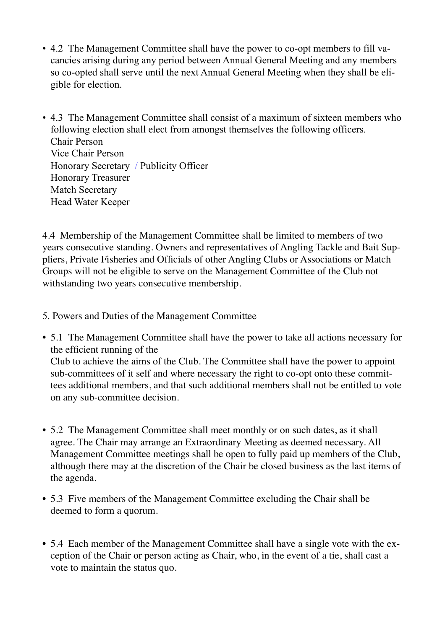- 4.2 The Management Committee shall have the power to co-opt members to fill vacancies arising during any period between Annual General Meeting and any members so co-opted shall serve until the next Annual General Meeting when they shall be eligible for election.
- 4.3 The Management Committee shall consist of a maximum of sixteen members who following election shall elect from amongst themselves the following officers. Chair Person Vice Chair Person Honorary Secretary / Publicity Officer Honorary Treasurer Match Secretary Head Water Keeper

4.4 Membership of the Management Committee shall be limited to members of two years consecutive standing. Owners and representatives of Angling Tackle and Bait Suppliers, Private Fisheries and Officials of other Angling Clubs or Associations or Match Groups will not be eligible to serve on the Management Committee of the Club not withstanding two years consecutive membership.

- 5. Powers and Duties of the Management Committee
- 5.1 The Management Committee shall have the power to take all actions necessary for the efficient running of the Club to achieve the aims of the Club. The Committee shall have the power to appoint sub-committees of it self and where necessary the right to co-opt onto these committees additional members, and that such additional members shall not be entitled to vote on any sub-committee decision.
- 5.2 The Management Committee shall meet monthly or on such dates, as it shall agree. The Chair may arrange an Extraordinary Meeting as deemed necessary. All Management Committee meetings shall be open to fully paid up members of the Club, although there may at the discretion of the Chair be closed business as the last items of the agenda.
- 5.3 Five members of the Management Committee excluding the Chair shall be deemed to form a quorum.
- 5.4 Each member of the Management Committee shall have a single vote with the exception of the Chair or person acting as Chair, who, in the event of a tie, shall cast a vote to maintain the status quo.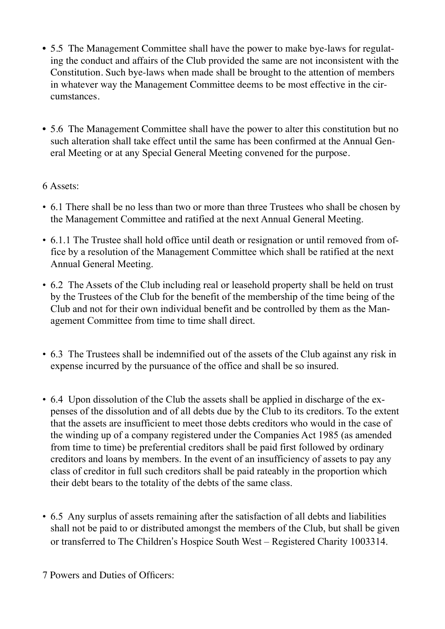- 5.5 The Management Committee shall have the power to make bye-laws for regulating the conduct and affairs of the Club provided the same are not inconsistent with the Constitution. Such bye-laws when made shall be brought to the attention of members in whatever way the Management Committee deems to be most effective in the circumstances.
- 5.6 The Management Committee shall have the power to alter this constitution but no such alteration shall take effect until the same has been confirmed at the Annual General Meeting or at any Special General Meeting convened for the purpose.

# 6 Assets:

- 6.1 There shall be no less than two or more than three Trustees who shall be chosen by the Management Committee and ratified at the next Annual General Meeting.
- 6.1.1 The Trustee shall hold office until death or resignation or until removed from office by a resolution of the Management Committee which shall be ratified at the next Annual General Meeting.
- 6.2 The Assets of the Club including real or leasehold property shall be held on trust by the Trustees of the Club for the benefit of the membership of the time being of the Club and not for their own individual benefit and be controlled by them as the Management Committee from time to time shall direct.
- 6.3 The Trustees shall be indemnified out of the assets of the Club against any risk in expense incurred by the pursuance of the office and shall be so insured.
- 6.4 Upon dissolution of the Club the assets shall be applied in discharge of the expenses of the dissolution and of all debts due by the Club to its creditors. To the extent that the assets are insufficient to meet those debts creditors who would in the case of the winding up of a company registered under the Companies Act 1985 (as amended from time to time) be preferential creditors shall be paid first followed by ordinary creditors and loans by members. In the event of an insufficiency of assets to pay any class of creditor in full such creditors shall be paid rateably in the proportion which their debt bears to the totality of the debts of the same class.
- 6.5 Any surplus of assets remaining after the satisfaction of all debts and liabilities shall not be paid to or distributed amongst the members of the Club, but shall be given or transferred to The Children"s Hospice South West – Registered Charity 1003314.

7 Powers and Duties of Officers: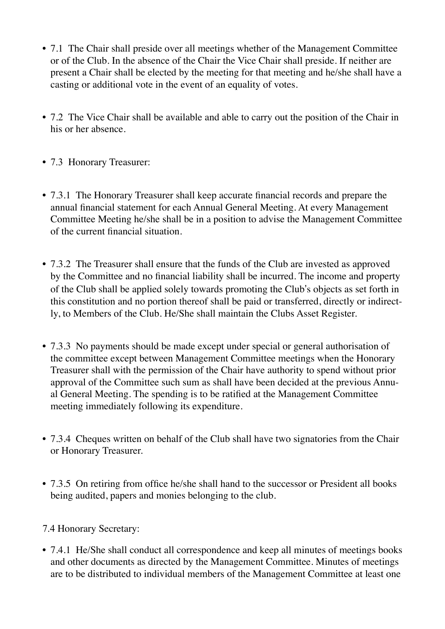- 7.1 The Chair shall preside over all meetings whether of the Management Committee or of the Club. In the absence of the Chair the Vice Chair shall preside. If neither are present a Chair shall be elected by the meeting for that meeting and he/she shall have a casting or additional vote in the event of an equality of votes.
- 7.2 The Vice Chair shall be available and able to carry out the position of the Chair in his or her absence.
- 7.3 Honorary Treasurer:
- 7.3.1 The Honorary Treasurer shall keep accurate financial records and prepare the annual financial statement for each Annual General Meeting. At every Management Committee Meeting he/she shall be in a position to advise the Management Committee of the current financial situation.
- 7.3.2 The Treasurer shall ensure that the funds of the Club are invested as approved by the Committee and no financial liability shall be incurred. The income and property of the Club shall be applied solely towards promoting the Club"s objects as set forth in this constitution and no portion thereof shall be paid or transferred, directly or indirectly, to Members of the Club. He/She shall maintain the Clubs Asset Register.
- 7.3.3 No payments should be made except under special or general authorisation of the committee except between Management Committee meetings when the Honorary Treasurer shall with the permission of the Chair have authority to spend without prior approval of the Committee such sum as shall have been decided at the previous Annual General Meeting. The spending is to be ratified at the Management Committee meeting immediately following its expenditure.
- 7.3.4 Cheques written on behalf of the Club shall have two signatories from the Chair or Honorary Treasurer.
- 7.3.5 On retiring from office he/she shall hand to the successor or President all books being audited, papers and monies belonging to the club.

# 7.4 Honorary Secretary:

• 7.4.1 He/She shall conduct all correspondence and keep all minutes of meetings books and other documents as directed by the Management Committee. Minutes of meetings are to be distributed to individual members of the Management Committee at least one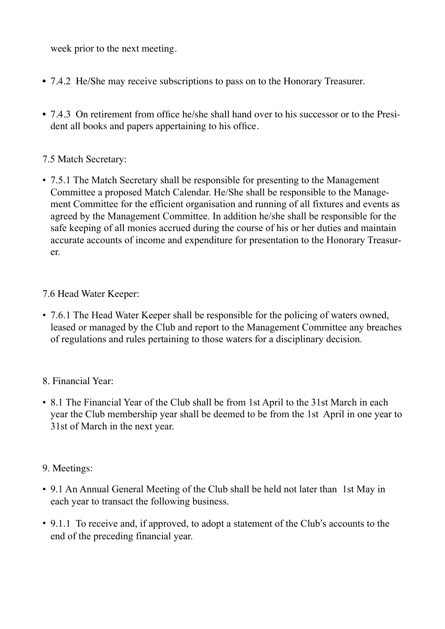week prior to the next meeting.

- 7.4.2 He/She may receive subscriptions to pass on to the Honorary Treasurer.
- 7.4.3 On retirement from office he/she shall hand over to his successor or to the President all books and papers appertaining to his office.

## 7.5 Match Secretary:

• 7.5.1 The Match Secretary shall be responsible for presenting to the Management Committee a proposed Match Calendar. He/She shall be responsible to the Management Committee for the efficient organisation and running of all fixtures and events as agreed by the Management Committee. In addition he/she shall be responsible for the safe keeping of all monies accrued during the course of his or her duties and maintain accurate accounts of income and expenditure for presentation to the Honorary Treasurer.

## 7.6 Head Water Keeper:

• 7.6.1 The Head Water Keeper shall be responsible for the policing of waters owned, leased or managed by the Club and report to the Management Committee any breaches of regulations and rules pertaining to those waters for a disciplinary decision.

## 8. Financial Year:

• 8.1 The Financial Year of the Club shall be from 1st April to the 31st March in each year the Club membership year shall be deemed to be from the 1st April in one year to 31st of March in the next year.

## 9. Meetings:

- 9.1 An Annual General Meeting of the Club shall be held not later than 1st May in each year to transact the following business.
- 9.1.1 To receive and, if approved, to adopt a statement of the Club's accounts to the end of the preceding financial year.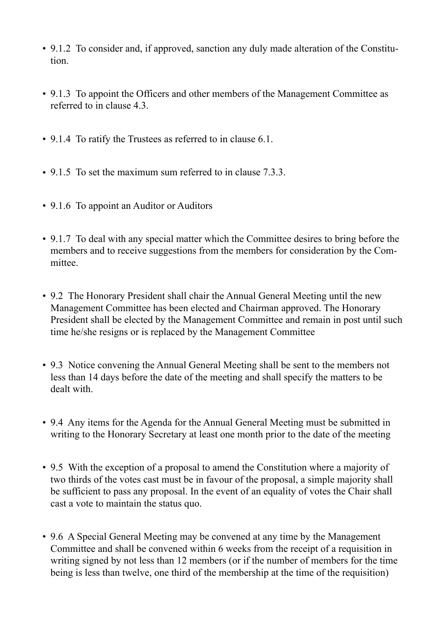- 9.1.2 To consider and, if approved, sanction any duly made alteration of the Constitution.
- 9.1.3 To appoint the Officers and other members of the Management Committee as referred to in clause 4.3.
- 9.1.4 To ratify the Trustees as referred to in clause 6.1.
- 9.1.5 To set the maximum sum referred to in clause 7.3.3.
- 9.1.6 To appoint an Auditor or Auditors
- 9.1.7 To deal with any special matter which the Committee desires to bring before the members and to receive suggestions from the members for consideration by the Committee.
- 9.2 The Honorary President shall chair the Annual General Meeting until the new Management Committee has been elected and Chairman approved. The Honorary President shall be elected by the Management Committee and remain in post until such time he/she resigns or is replaced by the Management Committee
- 9.3 Notice convening the Annual General Meeting shall be sent to the members not less than 14 days before the date of the meeting and shall specify the matters to be dealt with.
- 9.4 Any items for the Agenda for the Annual General Meeting must be submitted in writing to the Honorary Secretary at least one month prior to the date of the meeting
- 9.5 With the exception of a proposal to amend the Constitution where a majority of two thirds of the votes cast must be in favour of the proposal, a simple majority shall be sufficient to pass any proposal. In the event of an equality of votes the Chair shall cast a vote to maintain the status quo.
- 9.6 A Special General Meeting may be convened at any time by the Management Committee and shall be convened within 6 weeks from the receipt of a requisition in writing signed by not less than 12 members (or if the number of members for the time being is less than twelve, one third of the membership at the time of the requisition)